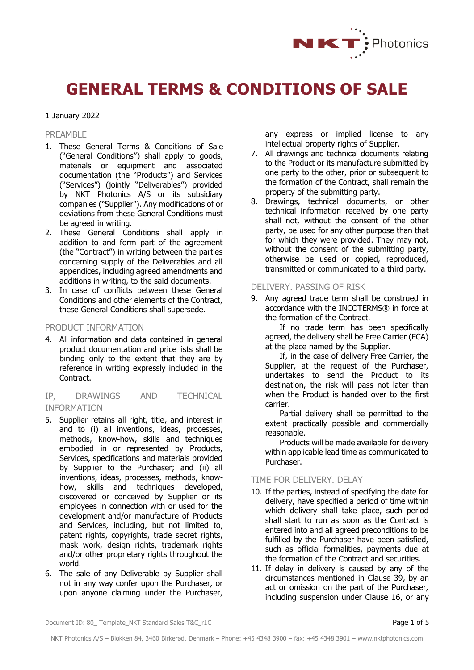

# **GENERAL TERMS & CONDITIONS OF SALE**

# 1 January 2022

#### PRFAMBL<sub>F</sub>

- 1. These General Terms & Conditions of Sale ("General Conditions") shall apply to goods, materials or equipment and associated documentation (the "Products") and Services ("Services") (jointly "Deliverables") provided by NKT Photonics A/S or its subsidiary companies ("Supplier"). Any modifications of or deviations from these General Conditions must be agreed in writing.
- 2. These General Conditions shall apply in addition to and form part of the agreement (the "Contract") in writing between the parties concerning supply of the Deliverables and all appendices, including agreed amendments and additions in writing, to the said documents.
- 3. In case of conflicts between these General Conditions and other elements of the Contract, these General Conditions shall supersede.

# PRODUCT INFORMATION

4. All information and data contained in general product documentation and price lists shall be binding only to the extent that they are by reference in writing expressly included in the Contract.

# IP, DRAWINGS AND TECHNICAL INFORMATION

- 5. Supplier retains all right, title, and interest in and to (i) all inventions, ideas, processes, methods, know-how, skills and techniques embodied in or represented by Products, Services, specifications and materials provided by Supplier to the Purchaser; and (ii) all inventions, ideas, processes, methods, knowhow, skills and techniques developed. discovered or conceived by Supplier or its employees in connection with or used for the development and/or manufacture of Products and Services, including, but not limited to, patent rights, copyrights, trade secret rights, mask work, design rights, trademark rights and/or other proprietary rights throughout the world.
- 6. The sale of any Deliverable by Supplier shall not in any way confer upon the Purchaser, or upon anyone claiming under the Purchaser,

any express or implied license to any intellectual property rights of Supplier.

- 7. All drawings and technical documents relating to the Product or its manufacture submitted by one party to the other, prior or subsequent to the formation of the Contract, shall remain the property of the submitting party.
- 8. Drawings, technical documents, or other technical information received by one party shall not, without the consent of the other party, be used for any other purpose than that for which they were provided. They may not, without the consent of the submitting party, otherwise be used or copied, reproduced, transmitted or communicated to a third party.

#### DELIVERY. PASSING OF RISK

<span id="page-0-0"></span>9. Any agreed trade term shall be construed in accordance with the INCOTERMS® in force at the formation of the Contract.

If no trade term has been specifically agreed, the delivery shall be Free Carrier (FCA) at the place named by the Supplier.

If, in the case of delivery Free Carrier, the Supplier, at the request of the Purchaser, undertakes to send the Product to its destination, the risk will pass not later than when the Product is handed over to the first carrier.

Partial delivery shall be permitted to the extent practically possible and commercially reasonable.

Products will be made available for delivery within applicable lead time as communicated to Purchaser.

#### TIME FOR DELIVERY. DELAY

- 10. If the parties, instead of specifying the date for delivery, have specified a period of time within which delivery shall take place, such period shall start to run as soon as the Contract is entered into and all agreed preconditions to be fulfilled by the Purchaser have been satisfied, such as official formalities, payments due at the formation of the Contract and securities.
- 11. If delay in delivery is caused by any of the circumstances mentioned in Clause [39,](#page-3-0) by an act or omission on the part of the Purchaser, including suspension under Clause [16,](#page-1-0) or any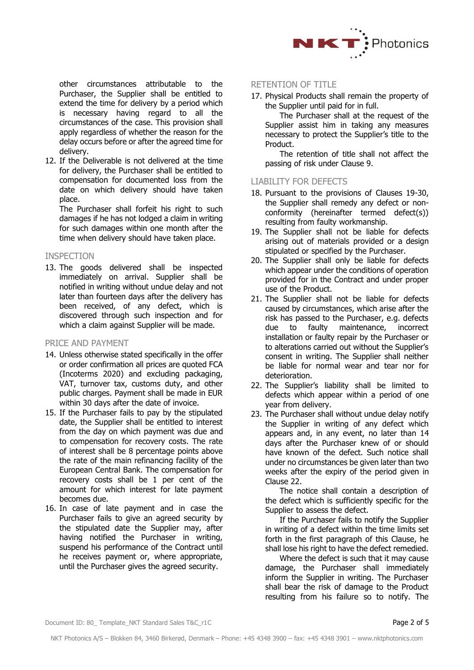

other circumstances attributable to the Purchaser, the Supplier shall be entitled to extend the time for delivery by a period which is necessary having regard to all the circumstances of the case. This provision shall apply regardless of whether the reason for the delay occurs before or after the agreed time for delivery.

12. If the Deliverable is not delivered at the time for delivery, the Purchaser shall be entitled to compensation for documented loss from the date on which delivery should have taken place.

The Purchaser shall forfeit his right to such damages if he has not lodged a claim in writing for such damages within one month after the time when delivery should have taken place.

#### INSPECTION

13. The goods delivered shall be inspected immediately on arrival. Supplier shall be notified in writing without undue delay and not later than fourteen days after the delivery has been received, of any defect, which is discovered through such inspection and for which a claim against Supplier will be made.

## PRICE AND PAYMENT

- 14. Unless otherwise stated specifically in the offer or order confirmation all prices are quoted FCA (Incoterms 2020) and excluding packaging, VAT, turnover tax, customs duty, and other public charges. Payment shall be made in EUR within 30 days after the date of invoice.
- 15. If the Purchaser fails to pay by the stipulated date, the Supplier shall be entitled to interest from the day on which payment was due and to compensation for recovery costs. The rate of interest shall be 8 percentage points above the rate of the main refinancing facility of the European Central Bank. The compensation for recovery costs shall be 1 per cent of the amount for which interest for late payment becomes due.
- <span id="page-1-0"></span>16. In case of late payment and in case the Purchaser fails to give an agreed security by the stipulated date the Supplier may, after having notified the Purchaser in writing, suspend his performance of the Contract until he receives payment or, where appropriate, until the Purchaser gives the agreed security.

# RETENTION OF TITLE

17. Physical Products shall remain the property of the Supplier until paid for in full.

The Purchaser shall at the request of the Supplier assist him in taking any measures necessary to protect the Supplier's title to the Product.

The retention of title shall not affect the passing of risk under Clause [9.](#page-0-0)

## LIABILITY FOR DEFECTS

- 18. Pursuant to the provisions of Clauses [19](#page-1-1)[-30,](#page-2-0) the Supplier shall remedy any defect or nonconformity (hereinafter termed defect(s)) resulting from faulty workmanship.
- <span id="page-1-1"></span>19. The Supplier shall not be liable for defects arising out of materials provided or a design stipulated or specified by the Purchaser.
- 20. The Supplier shall only be liable for defects which appear under the conditions of operation provided for in the Contract and under proper use of the Product.
- 21. The Supplier shall not be liable for defects caused by circumstances, which arise after the risk has passed to the Purchaser, e.g. defects due to faulty maintenance, incorrect installation or faulty repair by the Purchaser or to alterations carried out without the Supplier's consent in writing. The Supplier shall neither be liable for normal wear and tear nor for deterioration.
- <span id="page-1-2"></span>22. The Supplier's liability shall be limited to defects which appear within a period of one year from delivery.
- <span id="page-1-3"></span>23. The Purchaser shall without undue delay notify the Supplier in writing of any defect which appears and, in any event, no later than 14 days after the Purchaser knew of or should have known of the defect. Such notice shall under no circumstances be given later than two weeks after the expiry of the period given in Clause [22.](#page-1-2)

The notice shall contain a description of the defect which is sufficiently specific for the Supplier to assess the defect.

If the Purchaser fails to notify the Supplier in writing of a defect within the time limits set forth in the first paragraph of this Clause, he shall lose his right to have the defect remedied.

Where the defect is such that it may cause damage, the Purchaser shall immediately inform the Supplier in writing. The Purchaser shall bear the risk of damage to the Product resulting from his failure so to notify. The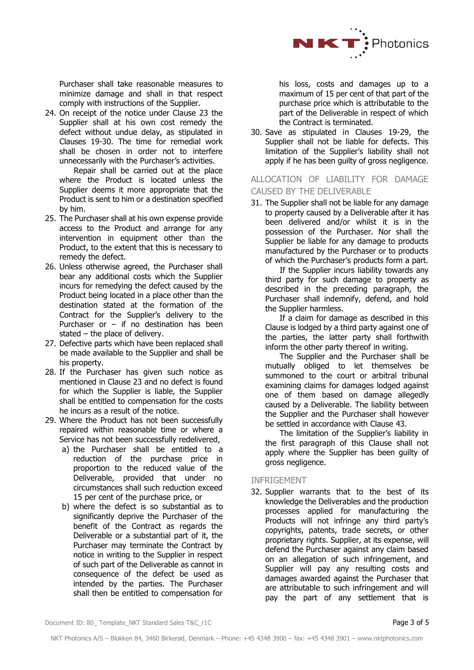

Purchaser shall take reasonable measures to minimize damage and shall in that respect comply with instructions of the Supplier.

24. On receipt of the notice under Clause [23](#page-1-3) the Supplier shall at his own cost remedy the defect without undue delay, as stipulated in Clauses [19](#page-1-1)[-30.](#page-2-0) The time for remedial work shall be chosen in order not to interfere unnecessarily with the Purchaser's activities.

Repair shall be carried out at the place where the Product is located unless the Supplier deems it more appropriate that the Product is sent to him or a destination specified by him.

- 25. The Purchaser shall at his own expense provide access to the Product and arrange for any intervention in equipment other than the Product, to the extent that this is necessary to remedy the defect.
- 26. Unless otherwise agreed, the Purchaser shall bear any additional costs which the Supplier incurs for remedying the defect caused by the Product being located in a place other than the destination stated at the formation of the Contract for the Supplier's delivery to the Purchaser or  $-$  if no destination has been stated – the place of delivery.
- 27. Defective parts which have been replaced shall be made available to the Supplier and shall be his property.
- 28. If the Purchaser has given such notice as mentioned in Clause [23](#page-1-3) and no defect is found for which the Supplier is liable, the Supplier shall be entitled to compensation for the costs he incurs as a result of the notice.
- <span id="page-2-1"></span>29. Where the Product has not been successfully repaired within reasonable time or where a Service has not been successfully redelivered,
	- a) the Purchaser shall be entitled to a reduction of the purchase price in proportion to the reduced value of the Deliverable, provided that under no circumstances shall such reduction exceed 15 per cent of the purchase price, or
	- b) where the defect is so substantial as to significantly deprive the Purchaser of the benefit of the Contract as regards the Deliverable or a substantial part of it, the Purchaser may terminate the Contract by notice in writing to the Supplier in respect of such part of the Deliverable as cannot in consequence of the defect be used as intended by the parties. The Purchaser shall then be entitled to compensation for

his loss, costs and damages up to a maximum of 15 per cent of that part of the purchase price which is attributable to the part of the Deliverable in respect of which the Contract is terminated.

<span id="page-2-0"></span>30. Save as stipulated in Clauses [19](#page-1-1)[-29,](#page-2-1) the Supplier shall not be liable for defects. This limitation of the Supplier's liability shall not apply if he has been guilty of gross negligence.

# ALLOCATION OF LIABILITY FOR DAMAGE CAUSED BY THE DELIVERABLE

31. The Supplier shall not be liable for any damage to property caused by a Deliverable after it has been delivered and/or whilst it is in the possession of the Purchaser. Nor shall the Supplier be liable for any damage to products manufactured by the Purchaser or to products of which the Purchaser's products form a part.

If the Supplier incurs liability towards any third party for such damage to property as described in the preceding paragraph, the Purchaser shall indemnify, defend, and hold the Supplier harmless.

If a claim for damage as described in this Clause is lodged by a third party against one of the parties, the latter party shall forthwith inform the other party thereof in writing.

The Supplier and the Purchaser shall be mutually obliged to let themselves be summoned to the court or arbitral tribunal examining claims for damages lodged against one of them based on damage allegedly caused by a Deliverable. The liability between the Supplier and the Purchaser shall however be settled in accordance with Clause [43.](#page-4-0)

The limitation of the Supplier's liability in the first paragraph of this Clause shall not apply where the Supplier has been guilty of gross negligence.

# INFRIGEMENT

32. Supplier warrants that to the best of its knowledge the Deliverables and the production processes applied for manufacturing the Products will not infringe any third party's copyrights, patents, trade secrets, or other proprietary rights. Supplier, at its expense, will defend the Purchaser against any claim based on an allegation of such infringement, and Supplier will pay any resulting costs and damages awarded against the Purchaser that are attributable to such infringement and will pay the part of any settlement that is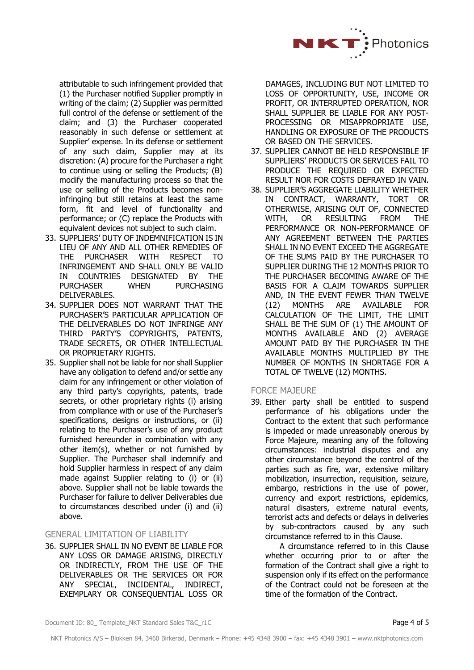

attributable to such infringement provided that (1) the Purchaser notified Supplier promptly in writing of the claim; (2) Supplier was permitted full control of the defense or settlement of the claim; and (3) the Purchaser cooperated reasonably in such defense or settlement at Supplier' expense. In its defense or settlement of any such claim, Supplier may at its discretion: (A) procure for the Purchaser a right to continue using or selling the Products; (B) modify the manufacturing process so that the use or selling of the Products becomes noninfringing but still retains at least the same form, fit and level of functionality and performance; or (C) replace the Products with equivalent devices not subject to such claim.

- 33. SUPPLIERS' DUTY OF INDEMNIFICATION IS IN LIEU OF ANY AND ALL OTHER REMEDIES OF THE PURCHASER WITH RESPECT TO INFRINGEMENT AND SHALL ONLY BE VALID IN COUNTRIES DESIGNATED BY THE PURCHASER WHEN PURCHASING DELIVERABLES.
- 34. SUPPLIER DOES NOT WARRANT THAT THE PURCHASER'S PARTICULAR APPLICATION OF THE DELIVERABLES DO NOT INFRINGE ANY THIRD PARTY'S COPYRIGHTS, PATENTS, TRADE SECRETS, OR OTHER INTELLECTUAL OR PROPRIETARY RIGHTS.
- 35. Supplier shall not be liable for nor shall Supplier have any obligation to defend and/or settle any claim for any infringement or other violation of any third party's copyrights, patents, trade secrets, or other proprietary rights (i) arising from compliance with or use of the Purchaser's specifications, designs or instructions, or (ii) relating to the Purchaser's use of any product furnished hereunder in combination with any other item(s), whether or not furnished by Supplier. The Purchaser shall indemnify and hold Supplier harmless in respect of any claim made against Supplier relating to (i) or (ii) above. Supplier shall not be liable towards the Purchaser for failure to deliver Deliverables due to circumstances described under (i) and (ii) above.

# GENERAL LIMITATION OF LIABILITY

36. SUPPLIER SHALL IN NO EVENT BE LIABLE FOR ANY LOSS OR DAMAGE ARISING, DIRECTLY OR INDIRECTLY, FROM THE USE OF THE DELIVERABLES OR THE SERVICES OR FOR ANY SPECIAL, INCIDENTAL, INDIRECT, EXEMPLARY OR CONSEQUENTIAL LOSS OR

DAMAGES, INCLUDING BUT NOT LIMITED TO LOSS OF OPPORTUNITY, USE, INCOME OR PROFIT, OR INTERRUPTED OPERATION, NOR SHALL SUPPLIER BE LIABLE FOR ANY POST-PROCESSING OR MISAPPROPRIATE USE, HANDLING OR EXPOSURE OF THE PRODUCTS OR BASED ON THE SERVICES.

- 37. SUPPLIER CANNOT BE HELD RESPONSIBLE IF SUPPLIERS' PRODUCTS OR SERVICES FAIL TO PRODUCE THE REQUIRED OR EXPECTED RESULT NOR FOR COSTS DEFRAYED IN VAIN.
- 38. SUPPLIER'S AGGREGATE LIABILITY WHETHER IN CONTRACT, WARRANTY, TORT OR OTHERWISE, ARISING OUT OF, CONNECTED WITH, OR RESULTING FROM THE PERFORMANCE OR NON-PERFORMANCE OF ANY AGREEMENT BETWEEN THE PARTIES SHALL IN NO EVENT EXCEED THE AGGREGATE OF THE SUMS PAID BY THE PURCHASER TO SUPPLIER DURING THE 12 MONTHS PRIOR TO THE PURCHASER BECOMING AWARE OF THE BASIS FOR A CLAIM TOWARDS SUPPLIER AND, IN THE EVENT FEWER THAN TWELVE (12) MONTHS ARE AVAILABLE FOR CALCULATION OF THE LIMIT, THE LIMIT SHALL BE THE SUM OF (1) THE AMOUNT OF MONTHS AVAILABLE AND (2) AVERAGE AMOUNT PAID BY THE PURCHASER IN THE AVAILABLE MONTHS MULTIPLIED BY THE NUMBER OF MONTHS IN SHORTAGE FOR A TOTAL OF TWELVE (12) MONTHS.

## FORCE MAJEURE

<span id="page-3-0"></span>39. Either party shall be entitled to suspend performance of his obligations under the Contract to the extent that such performance is impeded or made unreasonably onerous by Force Majeure, meaning any of the following circumstances: industrial disputes and any other circumstance beyond the control of the parties such as fire, war, extensive military mobilization, insurrection, requisition, seizure, embargo, restrictions in the use of power, currency and export restrictions, epidemics, natural disasters, extreme natural events, terrorist acts and defects or delays in deliveries by sub-contractors caused by any such circumstance referred to in this Clause.

A circumstance referred to in this Clause whether occurring prior to or after the formation of the Contract shall give a right to suspension only if its effect on the performance of the Contract could not be foreseen at the time of the formation of the Contract.

Document ID: 80\_ Template\_NKT Standard Sales T&C\_r1C Page 4 of 5